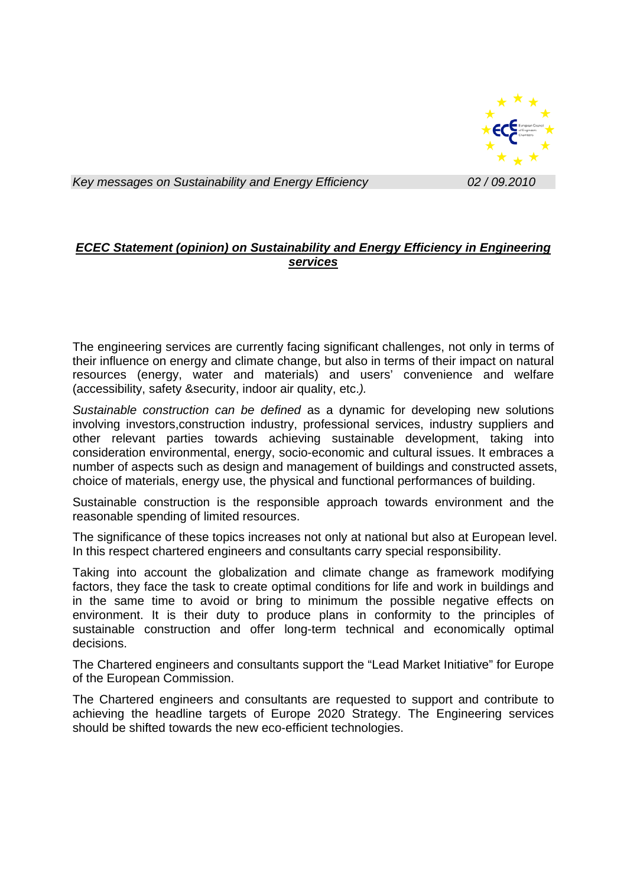

*Key messages on Sustainability and Energy Efficiency**02 / 09.2010* 

## *ECEC Statement (opinion) on Sustainability and Energy Efficiency in Engineering services*

The engineering services are currently facing significant challenges, not only in terms of their influence on energy and climate change, but also in terms of their impact on natural resources (energy, water and materials) and users' convenience and welfare (accessibility, safety &security, indoor air quality, etc.*).* 

*Sustainable construction can be defined* as a dynamic for developing new solutions involving investors,construction industry, professional services, industry suppliers and other relevant parties towards achieving sustainable development, taking into consideration environmental, energy, socio-economic and cultural issues. It embraces a number of aspects such as design and management of buildings and constructed assets, choice of materials, energy use, the physical and functional performances of building.

Sustainable construction is the responsible approach towards environment and the reasonable spending of limited resources.

The significance of these topics increases not only at national but also at European level. In this respect chartered engineers and consultants carry special responsibility.

Taking into account the globalization and climate change as framework modifying factors, they face the task to create optimal conditions for life and work in buildings and in the same time to avoid or bring to minimum the possible negative effects on environment. It is their duty to produce plans in conformity to the principles of sustainable construction and offer long-term technical and economically optimal decisions.

The Chartered engineers and consultants support the "Lead Market Initiative" for Europe of the European Commission.

The Chartered engineers and consultants are requested to support and contribute to achieving the headline targets of Europe 2020 Strategy. The Engineering services should be shifted towards the new eco-efficient technologies.